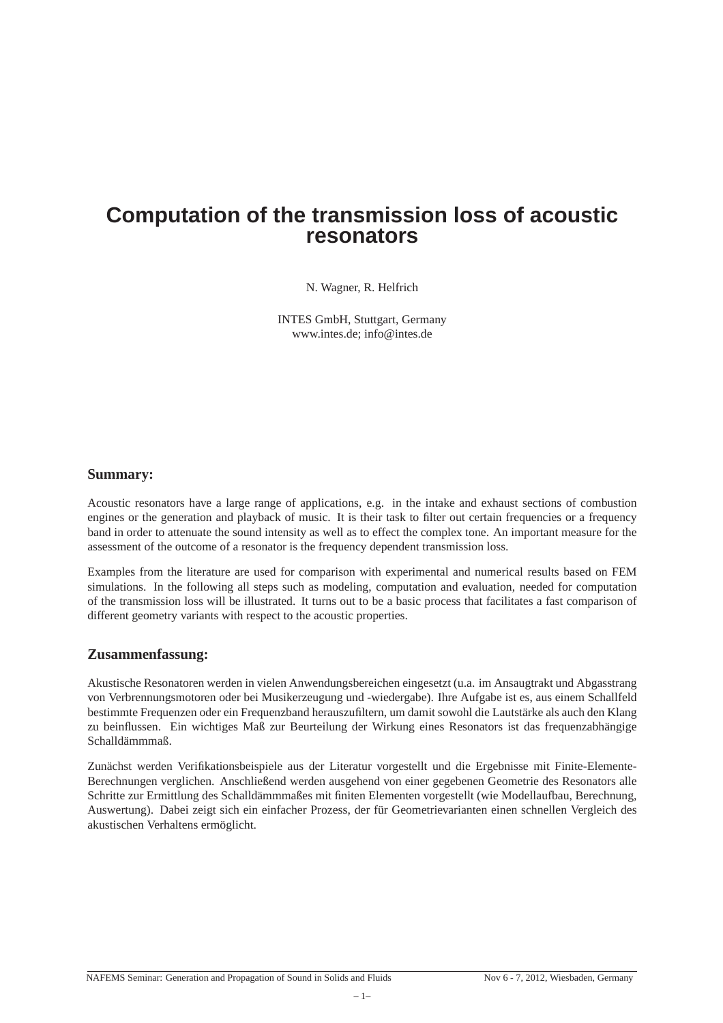# **Computation of the transmission loss of acoustic resonators**

N. Wagner, R. Helfrich

INTES GmbH, Stuttgart, Germany www.intes.de; info@intes.de

## **Summary:**

Acoustic resonators have a large range of applications, e.g. in the intake and exhaust sections of combustion engines or the generation and playback of music. It is their task to filter out certain frequencies or a frequency band in order to attenuate the sound intensity as well as to effect the complex tone. An important measure for the assessment of the outcome of a resonator is the frequency dependent transmission loss.

Examples from the literature are used for comparison with experimental and numerical results based on FEM simulations. In the following all steps such as modeling, computation and evaluation, needed for computation of the transmission loss will be illustrated. It turns out to be a basic process that facilitates a fast comparison of different geometry variants with respect to the acoustic properties.

#### **Zusammenfassung:**

Akustische Resonatoren werden in vielen Anwendungsbereichen eingesetzt (u.a. im Ansaugtrakt und Abgasstrang von Verbrennungsmotoren oder bei Musikerzeugung und -wiedergabe). Ihre Aufgabe ist es, aus einem Schallfeld bestimmte Frequenzen oder ein Frequenzband herauszufiltern, um damit sowohl die Lautstärke als auch den Klang zu beinflussen. Ein wichtiges Maß zur Beurteilung der Wirkung eines Resonators ist das frequenzabhängige Schalldämmmaß.

Zunächst werden Verifikationsbeispiele aus der Literatur vorgestellt und die Ergebnisse mit Finite-Elemente-Berechnungen verglichen. Anschließend werden ausgehend von einer gegebenen Geometrie des Resonators alle Schritte zur Ermittlung des Schalldämmmaßes mit finiten Elementen vorgestellt (wie Modellaufbau, Berechnung, Auswertung). Dabei zeigt sich ein einfacher Prozess, der für Geometrievarianten einen schnellen Vergleich des akustischen Verhaltens ermöglicht.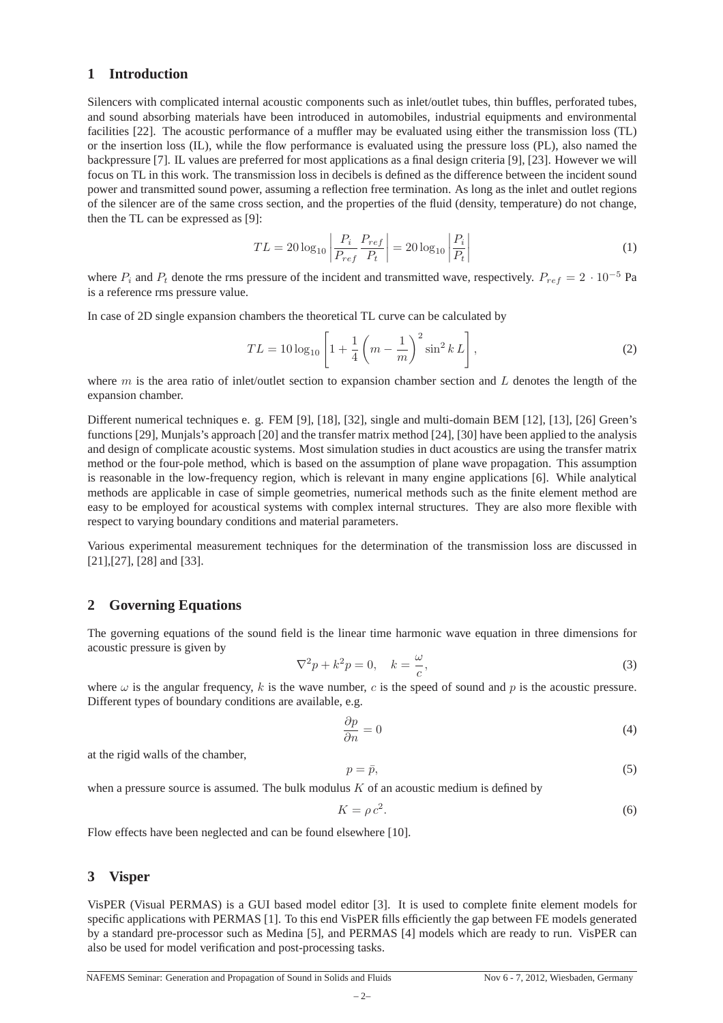## **1 Introduction**

Silencers with complicated internal acoustic components such as inlet/outlet tubes, thin buffles, perforated tubes, and sound absorbing materials have been introduced in automobiles, industrial equipments and environmental facilities [22]. The acoustic performance of a muffler may be evaluated using either the transmission loss (TL) or the insertion loss (IL), while the flow performance is evaluated using the pressure loss (PL), also named the backpressure [7]. IL values are preferred for most applications as a final design criteria [9], [23]. However we will focus on TL in this work. The transmission loss in decibels is defined as the difference between the incident sound power and transmitted sound power, assuming a reflection free termination. As long as the inlet and outlet regions of the silencer are of the same cross section, and the properties of the fluid (density, temperature) do not change, then the TL can be expressed as [9]:

$$
TL = 20\log_{10}\left|\frac{P_i}{P_{ref}}\frac{P_{ref}}{P_t}\right| = 20\log_{10}\left|\frac{P_i}{P_t}\right|
$$
 (1)

where  $P_i$  and  $P_t$  denote the rms pressure of the incident and transmitted wave, respectively.  $P_{ref} = 2 \cdot 10^{-5}$  Pa is a reference rms pressure value.

In case of 2D single expansion chambers the theoretical TL curve can be calculated by

$$
TL = 10\log_{10}\left[1 + \frac{1}{4}\left(m - \frac{1}{m}\right)^2 \sin^2 k L\right],
$$
\n(2)

where m is the area ratio of inlet/outlet section to expansion chamber section and  $L$  denotes the length of the expansion chamber.

Different numerical techniques e. g. FEM [9], [18], [32], single and multi-domain BEM [12], [13], [26] Green's functions [29], Munjals's approach [20] and the transfer matrix method [24], [30] have been applied to the analysis and design of complicate acoustic systems. Most simulation studies in duct acoustics are using the transfer matrix method or the four-pole method, which is based on the assumption of plane wave propagation. This assumption is reasonable in the low-frequency region, which is relevant in many engine applications [6]. While analytical methods are applicable in case of simple geometries, numerical methods such as the finite element method are easy to be employed for acoustical systems with complex internal structures. They are also more flexible with respect to varying boundary conditions and material parameters.

Various experimental measurement techniques for the determination of the transmission loss are discussed in [21],[27], [28] and [33].

## **2 Governing Equations**

The governing equations of the sound field is the linear time harmonic wave equation in three dimensions for acoustic pressure is given by

$$
\nabla^2 p + k^2 p = 0, \quad k = \frac{\omega}{c},\tag{3}
$$

where  $\omega$  is the angular frequency, k is the wave number, c is the speed of sound and p is the acoustic pressure. Different types of boundary conditions are available, e.g.

$$
\frac{\partial p}{\partial n} = 0\tag{4}
$$

at the rigid walls of the chamber,

$$
p = \bar{p},\tag{5}
$$

when a pressure source is assumed. The bulk modulus  $K$  of an acoustic medium is defined by

$$
K = \rho c^2. \tag{6}
$$

Flow effects have been neglected and can be found elsewhere [10].

#### **3 Visper**

VisPER (Visual PERMAS) is a GUI based model editor [3]. It is used to complete finite element models for specific applications with PERMAS [1]. To this end VisPER fills efficiently the gap between FE models generated by a standard pre-processor such as Medina [5], and PERMAS [4] models which are ready to run. VisPER can also be used for model verification and post-processing tasks.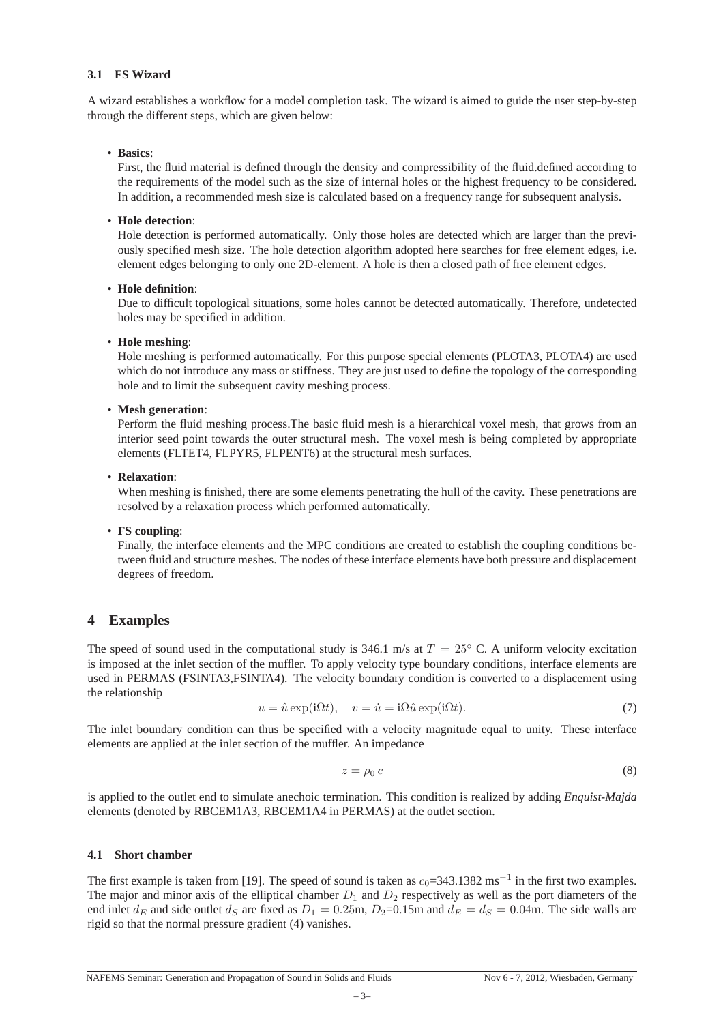## **3.1 FS Wizard**

A wizard establishes a workflow for a model completion task. The wizard is aimed to guide the user step-by-step through the different steps, which are given below:

#### • **Basics**:

First, the fluid material is defined through the density and compressibility of the fluid.defined according to the requirements of the model such as the size of internal holes or the highest frequency to be considered. In addition, a recommended mesh size is calculated based on a frequency range for subsequent analysis.

## • **Hole detection**:

Hole detection is performed automatically. Only those holes are detected which are larger than the previously specified mesh size. The hole detection algorithm adopted here searches for free element edges, i.e. element edges belonging to only one 2D-element. A hole is then a closed path of free element edges.

## • **Hole definition**:

Due to difficult topological situations, some holes cannot be detected automatically. Therefore, undetected holes may be specified in addition.

## • **Hole meshing**:

Hole meshing is performed automatically. For this purpose special elements (PLOTA3, PLOTA4) are used which do not introduce any mass or stiffness. They are just used to define the topology of the corresponding hole and to limit the subsequent cavity meshing process.

## • **Mesh generation**:

Perform the fluid meshing process.The basic fluid mesh is a hierarchical voxel mesh, that grows from an interior seed point towards the outer structural mesh. The voxel mesh is being completed by appropriate elements (FLTET4, FLPYR5, FLPENT6) at the structural mesh surfaces.

## • **Relaxation**:

When meshing is finished, there are some elements penetrating the hull of the cavity. These penetrations are resolved by a relaxation process which performed automatically.

#### • **FS coupling**:

Finally, the interface elements and the MPC conditions are created to establish the coupling conditions between fluid and structure meshes. The nodes of these interface elements have both pressure and displacement degrees of freedom.

## **4 Examples**

The speed of sound used in the computational study is 346.1 m/s at  $T = 25^\circ$  C. A uniform velocity excitation is imposed at the inlet section of the muffler. To apply velocity type boundary conditions, interface elements are used in PERMAS (FSINTA3,FSINTA4). The velocity boundary condition is converted to a displacement using the relationship

$$
u = \hat{u} \exp(i\Omega t), \quad v = \dot{u} = i\Omega \hat{u} \exp(i\Omega t). \tag{7}
$$

The inlet boundary condition can thus be specified with a velocity magnitude equal to unity. These interface elements are applied at the inlet section of the muffler. An impedance

$$
z = \rho_0 c \tag{8}
$$

is applied to the outlet end to simulate anechoic termination. This condition is realized by adding *Enquist-Majda* elements (denoted by RBCEM1A3, RBCEM1A4 in PERMAS) at the outlet section.

#### **4.1 Short chamber**

The first example is taken from [19]. The speed of sound is taken as  $c_0$ =343.1382 ms<sup>-1</sup> in the first two examples. The major and minor axis of the elliptical chamber  $D_1$  and  $D_2$  respectively as well as the port diameters of the end inlet  $d_E$  and side outlet  $d_S$  are fixed as  $D_1 = 0.25$ m,  $D_2 = 0.15$ m and  $d_E = d_S = 0.04$ m. The side walls are rigid so that the normal pressure gradient (4) vanishes.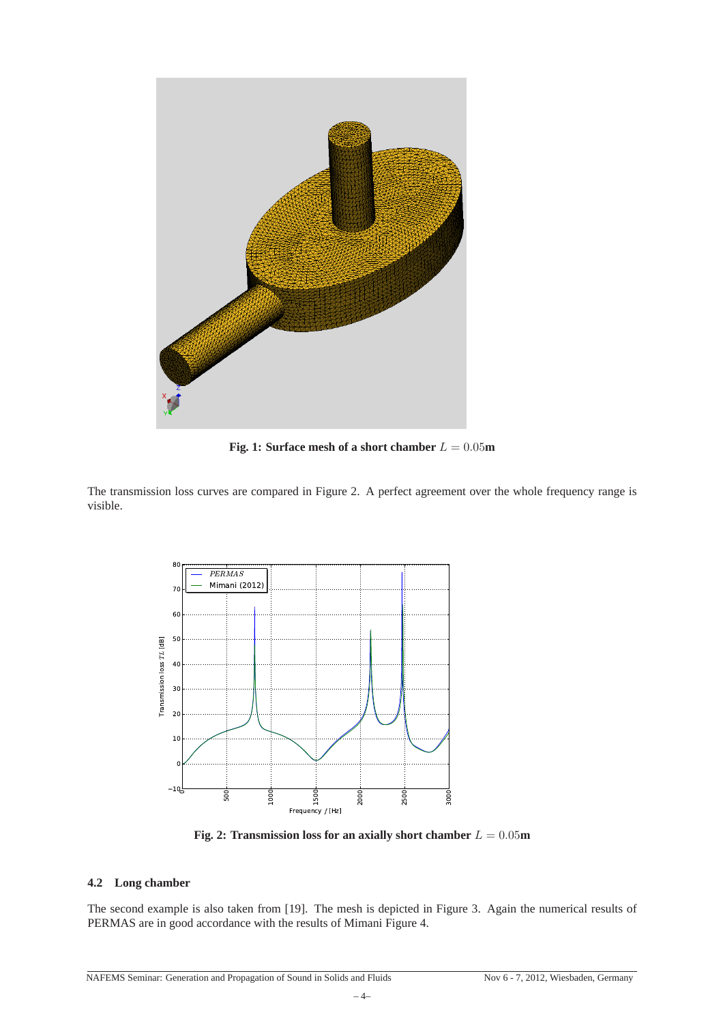

**Fig. 1: Surface mesh of a short chamber**  $L = 0.05$ **m** 

The transmission loss curves are compared in Figure 2. A perfect agreement over the whole frequency range is visible.



**Fig. 2: Transmission loss for an axially short chamber**  $L = 0.05$ **m** 

## **4.2 Long chamber**

The second example is also taken from [19]. The mesh is depicted in Figure 3. Again the numerical results of PERMAS are in good accordance with the results of Mimani Figure 4.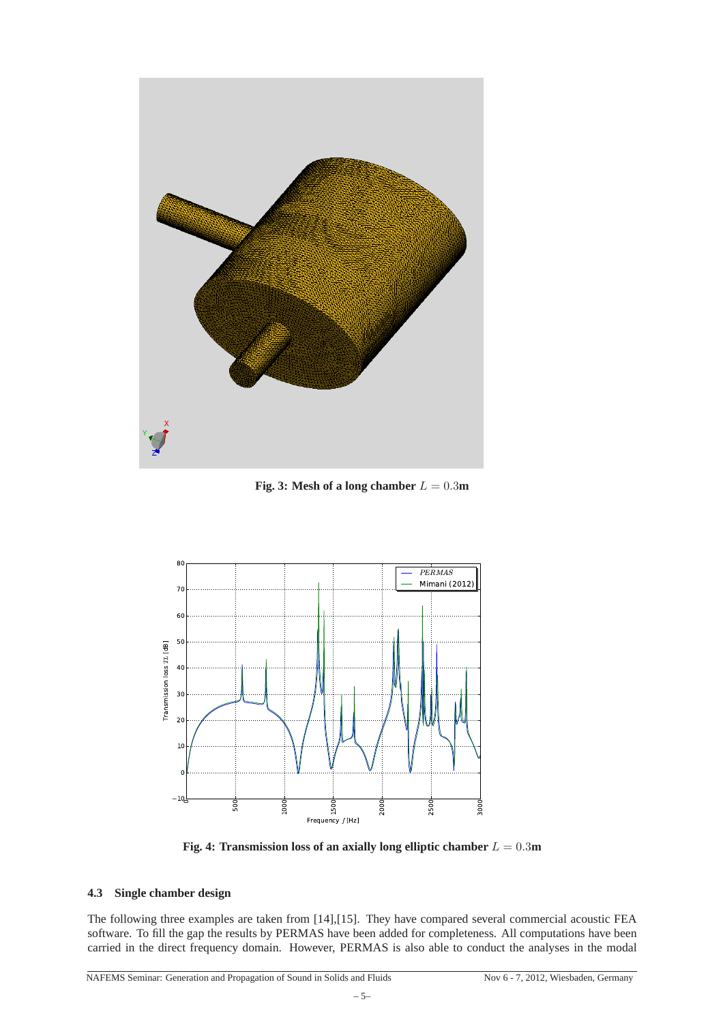

**Fig. 3:** Mesh of a long chamber  $L = 0.3$ m



**Fig. 4: Transmission loss of an axially long elliptic chamber** L = 0.3**m**

#### **4.3 Single chamber design**

The following three examples are taken from [14],[15]. They have compared several commercial acoustic FEA software. To fill the gap the results by PERMAS have been added for completeness. All computations have been carried in the direct frequency domain. However, PERMAS is also able to conduct the analyses in the modal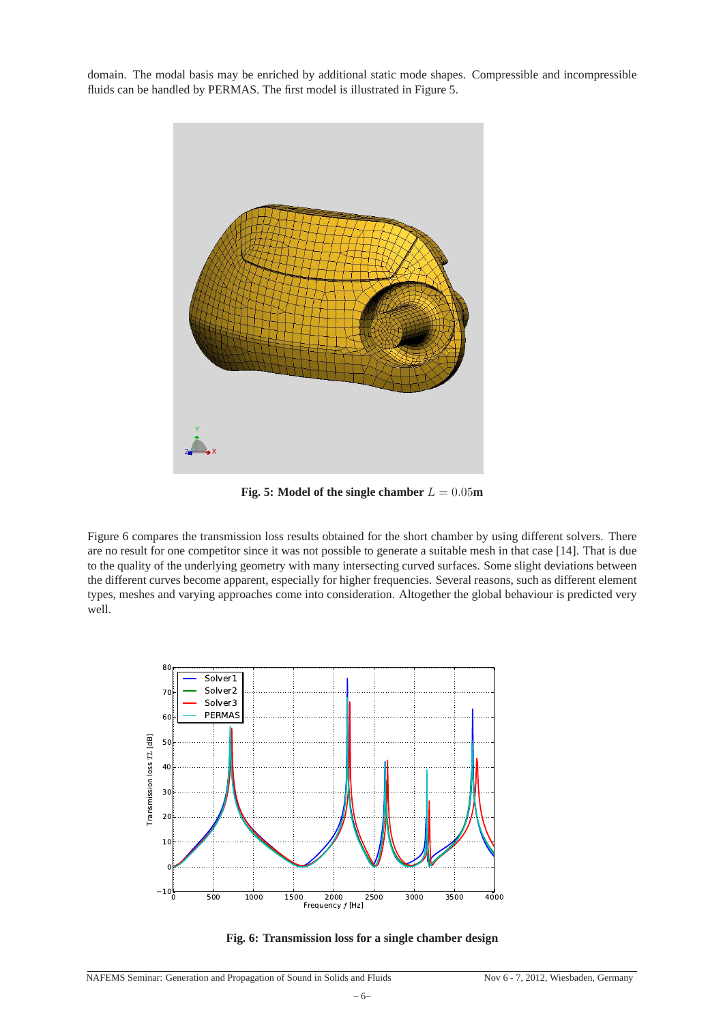domain. The modal basis may be enriched by additional static mode shapes. Compressible and incompressible fluids can be handled by PERMAS. The first model is illustrated in Figure 5.



**Fig. 5:** Model of the single chamber  $L = 0.05$ m

Figure 6 compares the transmission loss results obtained for the short chamber by using different solvers. There are no result for one competitor since it was not possible to generate a suitable mesh in that case [14]. That is due to the quality of the underlying geometry with many intersecting curved surfaces. Some slight deviations between the different curves become apparent, especially for higher frequencies. Several reasons, such as different element types, meshes and varying approaches come into consideration. Altogether the global behaviour is predicted very well.



**Fig. 6: Transmission loss for a single chamber design**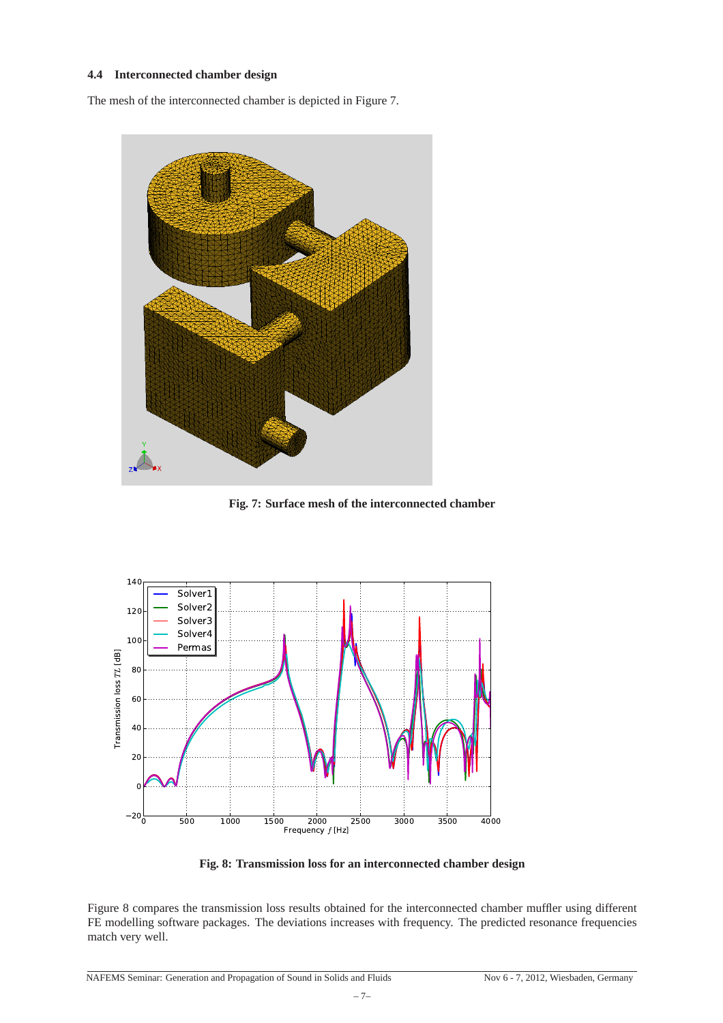## **4.4 Interconnected chamber design**

The mesh of the interconnected chamber is depicted in Figure 7.



**Fig. 7: Surface mesh of the interconnected chamber**



**Fig. 8: Transmission loss for an interconnected chamber design**

Figure 8 compares the transmission loss results obtained for the interconnected chamber muffler using different FE modelling software packages. The deviations increases with frequency. The predicted resonance frequencies match very well.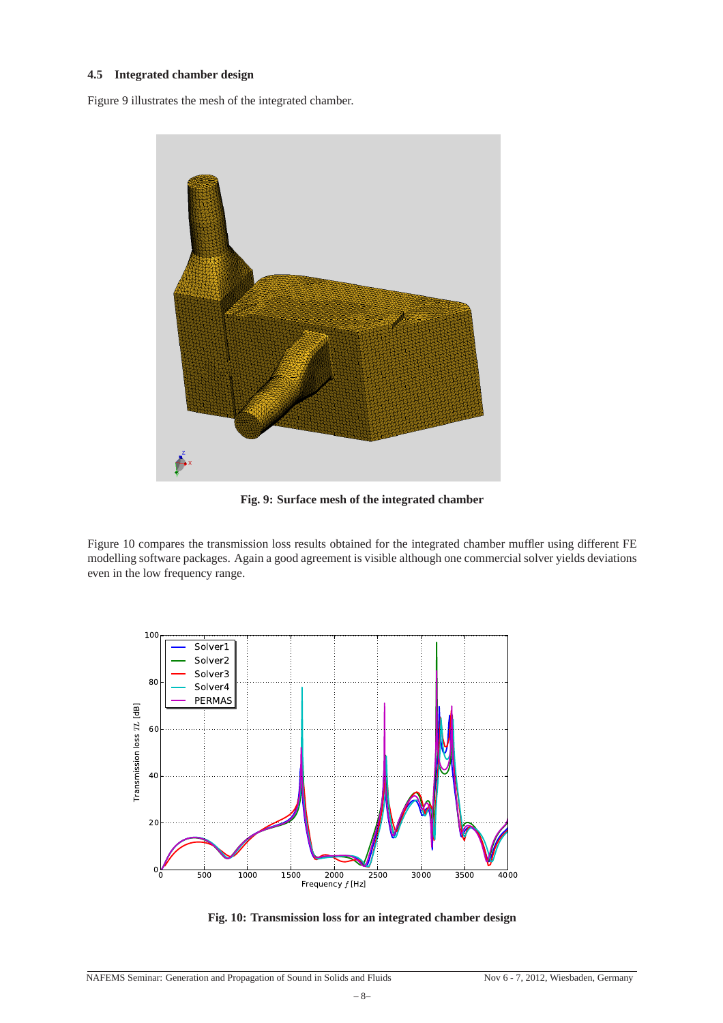### **4.5 Integrated chamber design**

Figure 9 illustrates the mesh of the integrated chamber.



**Fig. 9: Surface mesh of the integrated chamber**

Figure 10 compares the transmission loss results obtained for the integrated chamber muffler using different FE modelling software packages. Again a good agreement is visible although one commercial solver yields deviations even in the low frequency range.



**Fig. 10: Transmission loss for an integrated chamber design**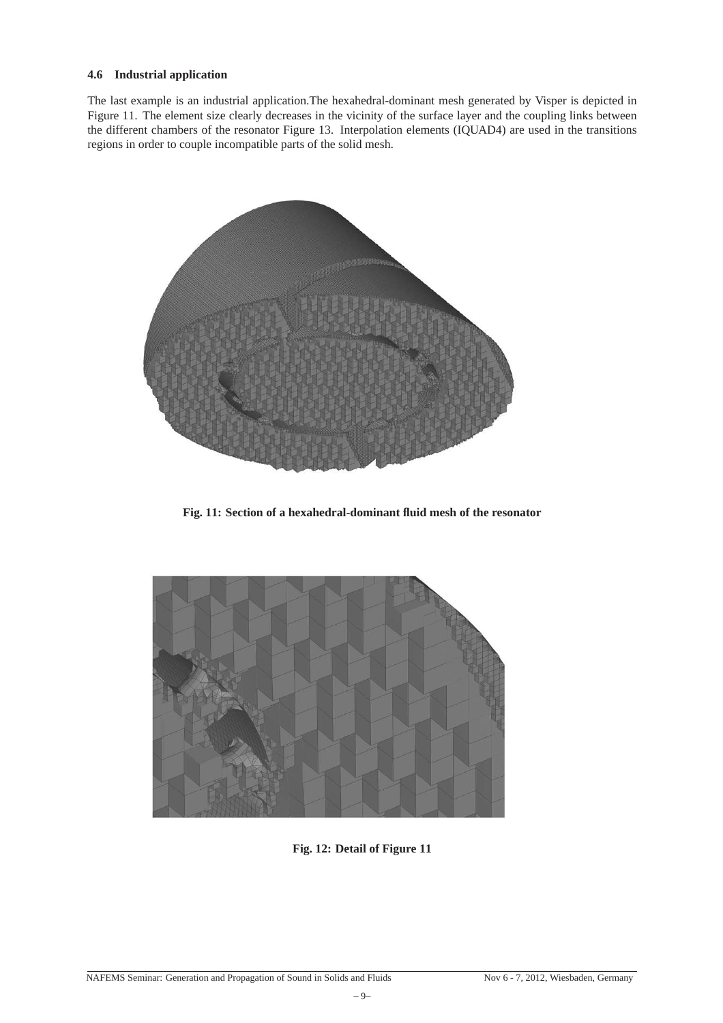## **4.6 Industrial application**

The last example is an industrial application.The hexahedral-dominant mesh generated by Visper is depicted in Figure 11. The element size clearly decreases in the vicinity of the surface layer and the coupling links between the different chambers of the resonator Figure 13. Interpolation elements (IQUAD4) are used in the transitions regions in order to couple incompatible parts of the solid mesh.



**Fig. 11: Section of a hexahedral-dominant fluid mesh of the resonator**



**Fig. 12: Detail of Figure 11**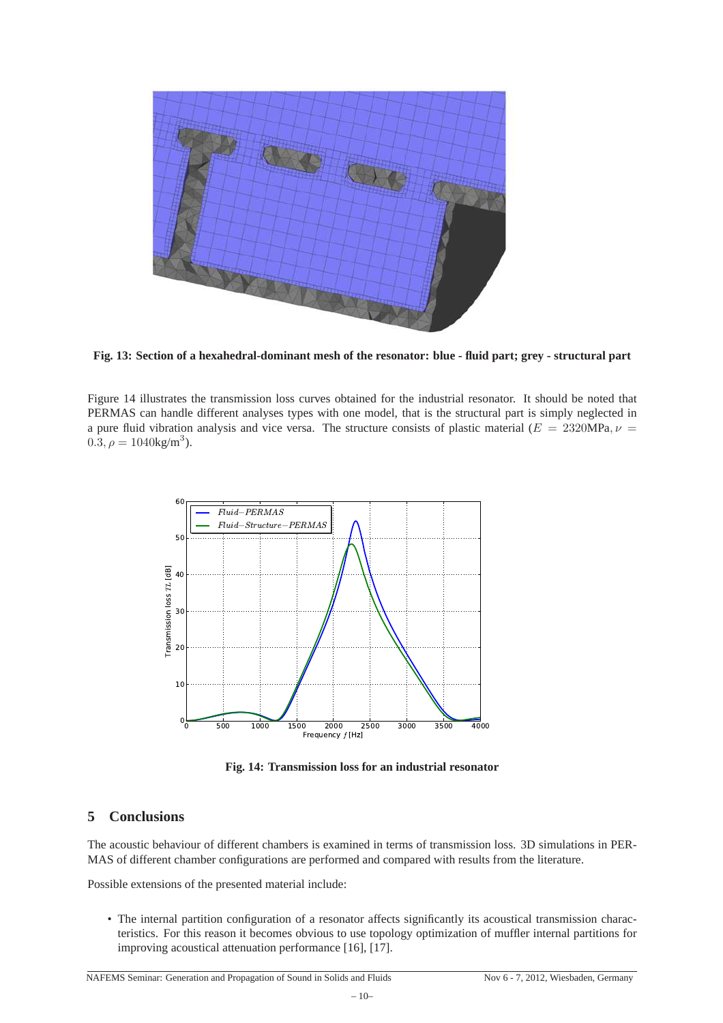

**Fig. 13: Section of a hexahedral-dominant mesh of the resonator: blue - fluid part; grey - structural part**

Figure 14 illustrates the transmission loss curves obtained for the industrial resonator. It should be noted that PERMAS can handle different analyses types with one model, that is the structural part is simply neglected in a pure fluid vibration analysis and vice versa. The structure consists of plastic material ( $E = 2320MPa, \nu =$  $0.\overline{3}, \rho = 1040 \text{kg/m}^3$ ).



**Fig. 14: Transmission loss for an industrial resonator**

# **5 Conclusions**

The acoustic behaviour of different chambers is examined in terms of transmission loss. 3D simulations in PER-MAS of different chamber configurations are performed and compared with results from the literature.

Possible extensions of the presented material include:

• The internal partition configuration of a resonator affects significantly its acoustical transmission characteristics. For this reason it becomes obvious to use topology optimization of muffler internal partitions for improving acoustical attenuation performance [16], [17].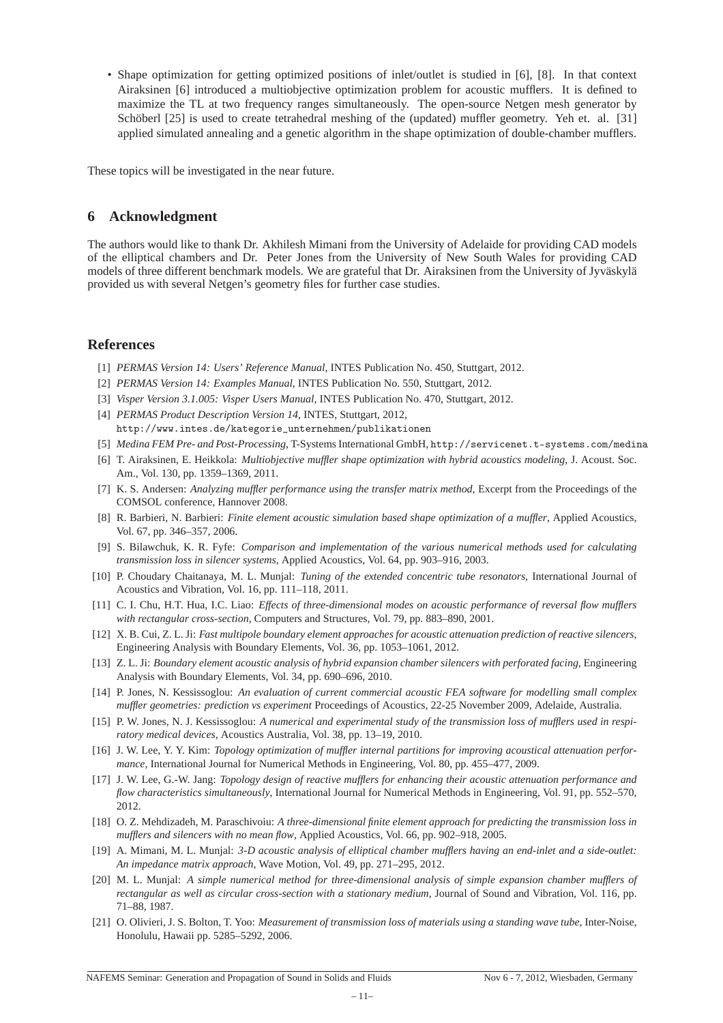• Shape optimization for getting optimized positions of inlet/outlet is studied in [6], [8]. In that context Airaksinen [6] introduced a multiobjective optimization problem for acoustic mufflers. It is defined to maximize the TL at two frequency ranges simultaneously. The open-source Netgen mesh generator by Schöberl [25] is used to create tetrahedral meshing of the (updated) muffler geometry. Yeh et. al. [31] applied simulated annealing and a genetic algorithm in the shape optimization of double-chamber mufflers.

These topics will be investigated in the near future.

## **6 Acknowledgment**

The authors would like to thank Dr. Akhilesh Mimani from the University of Adelaide for providing CAD models of the elliptical chambers and Dr. Peter Jones from the University of New South Wales for providing CAD models of three different benchmark models. We are grateful that Dr. Airaksinen from the University of Jyväskylä provided us with several Netgen's geometry files for further case studies.

## **References**

- [1] *PERMAS Version 14: Users' Reference Manual*, INTES Publication No. 450, Stuttgart, 2012.
- [2] *PERMAS Version 14: Examples Manual*, INTES Publication No. 550, Stuttgart, 2012.
- [3] *Visper Version 3.1.005: Visper Users Manual*, INTES Publication No. 470, Stuttgart, 2012.
- [4] *PERMAS Product Description Version 14*, INTES, Stuttgart, 2012, http://www.intes.de/kategorie\_unternehmen/publikationen
- [5] *Medina FEM Pre- and Post-Processing*, T-Systems International GmbH, http://servicenet.t-systems.com/medina
- [6] T. Airaksinen, E. Heikkola: *Multiobjective muffler shape optimization with hybrid acoustics modeling*, J. Acoust. Soc. Am., Vol. 130, pp. 1359–1369, 2011.
- [7] K. S. Andersen: *Analyzing muffler performance using the transfer matrix method*, Excerpt from the Proceedings of the COMSOL conference, Hannover 2008.
- [8] R. Barbieri, N. Barbieri: *Finite element acoustic simulation based shape optimization of a muffler*, Applied Acoustics, Vol. 67, pp. 346–357, 2006.
- [9] S. Bilawchuk, K. R. Fyfe: *Comparison and implementation of the various numerical methods used for calculating transmission loss in silencer systems*, Applied Acoustics, Vol. 64, pp. 903–916, 2003.
- [10] P. Choudary Chaitanaya, M. L. Munjal: *Tuning of the extended concentric tube resonators*, International Journal of Acoustics and Vibration, Vol. 16, pp. 111–118, 2011.
- [11] C. I. Chu, H.T. Hua, I.C. Liao: *Effects of three-dimensional modes on acoustic performance of reversal flow mufflers with rectangular cross-section*, Computers and Structures, Vol. 79, pp. 883–890, 2001.
- [12] X. B. Cui, Z. L. Ji: *Fast multipole boundary element approaches for acoustic attenuation prediction of reactive silencers*, Engineering Analysis with Boundary Elements, Vol. 36, pp. 1053–1061, 2012.
- [13] Z. L. Ji: *Boundary element acoustic analysis of hybrid expansion chamber silencers with perforated facing*, Engineering Analysis with Boundary Elements, Vol. 34, pp. 690–696, 2010.
- [14] P. Jones, N. Kessissoglou: *An evaluation of current commercial acoustic FEA software for modelling small complex muffler geometries: prediction vs experiment* Proceedings of Acoustics, 22-25 November 2009, Adelaide, Australia.
- [15] P. W. Jones, N. J. Kessissoglou: *A numerical and experimental study of the transmission loss of mufflers used in respiratory medical devices*, Acoustics Australia, Vol. 38, pp. 13–19, 2010.
- [16] J. W. Lee, Y. Y. Kim: *Topology optimization of muffler internal partitions for improving acoustical attenuation performance*, International Journal for Numerical Methods in Engineering, Vol. 80, pp. 455–477, 2009.
- [17] J. W. Lee, G.-W. Jang: *Topology design of reactive mufflers for enhancing their acoustic attenuation performance and flow characteristics simultaneously*, International Journal for Numerical Methods in Engineering, Vol. 91, pp. 552–570, 2012.
- [18] O. Z. Mehdizadeh, M. Paraschivoiu: *A three-dimensional finite element approach for predicting the transmission loss in mufflers and silencers with no mean flow*, Applied Acoustics, Vol. 66, pp. 902–918, 2005.
- [19] A. Mimani, M. L. Munjal: *3-D acoustic analysis of elliptical chamber mufflers having an end-inlet and a side-outlet: An impedance matrix approach*, Wave Motion, Vol. 49, pp. 271–295, 2012.
- [20] M. L. Munjal: *A simple numerical method for three-dimensional analysis of simple expansion chamber mufflers of rectangular as well as circular cross-section with a stationary medium*, Journal of Sound and Vibration, Vol. 116, pp. 71–88, 1987.
- [21] O. Olivieri, J. S. Bolton, T. Yoo: *Measurement of transmission loss of materials using a standing wave tube*, Inter-Noise, Honolulu, Hawaii pp. 5285–5292, 2006.